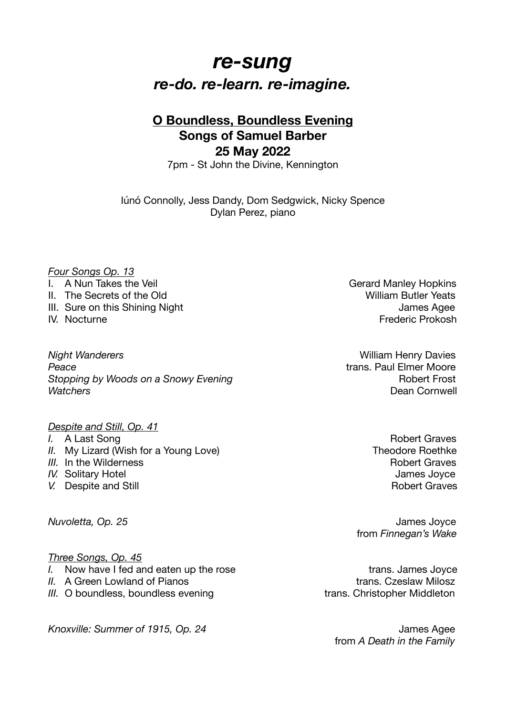# *re-sung re-do. re-learn. re-imagine.*

## **O Boundless, Boundless Evening Songs of Samuel Barber 25 May 2022**

7pm - St John the Divine, Kennington

Iúnó Connolly, Jess Dandy, Dom Sedgwick, Nicky Spence Dylan Perez, piano

#### *Four Songs Op. 13*

- I. A Nun Takes the Veil **I.** A Nun Takes the Veil **All Accords Container Accord Manley Hopkins**
- II. The Secrets of the Old New York Contract Contract Contract Contract Contract Contract Contract Contract Contract Contract Contract Contract Contract Contract Contract Contract Contract Contract Contract Contract Contra
- III. Sure on this Shining Night James Agee
- 

*Night Wanderers* William Henry Davies **Peace** *Peace Peace Peace Peace Peace Peace Peace Peace Peace Peace Peace Peace Peace Peace Peace Peace Peace Peace Peace Peace Peace Pe* **Stopping by Woods on a Snowy Evening Burner Container Transform Robert Frost** *Watchers* Dean Cornwell

### *Despite and Still, Op. 41*

- 
- *II.* My Lizard (Wish for a Young Love) Manuscription of the Theodore Roethke
- *III.* In the Wilderness **Robert Graves** Robert Graves
- 
- *V.* Despite and Still Robert Graves

#### *Three Songs, Op. 45*

- *I.* Now have I fed and eaten up the rose *I.* Now have I fed and eaten up the rose
- *II.* A Green Lowland of Pianos trans. Czeslaw Milosz
- *III.* O boundless, boundless evening the same trans. Christopher Middleton

*Knoxville: Summer of 1915, Op. 24 Manush James Agee* 

IV. Nocturne **IV. Nocturne IV. Nocturne** 

*I.* A Last Song Robert Graves *IV.* Solitary Hotel **IV.** Solitary Hotel **James** Joyce

*Nuvoletta, Op. 25 Nuvoletta, Op. 25*  from *Finnegan's Wake*

 from *A Death in the Family*